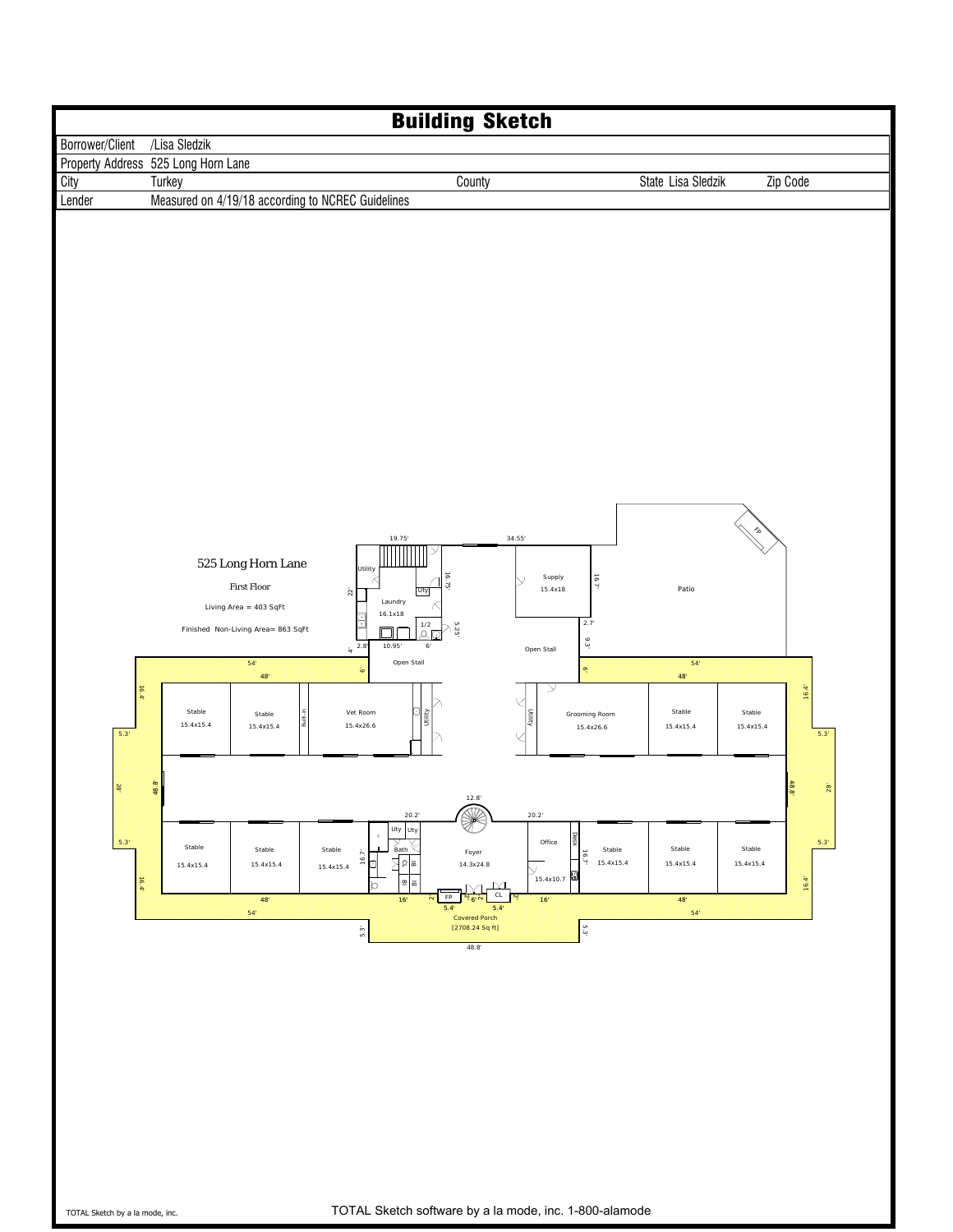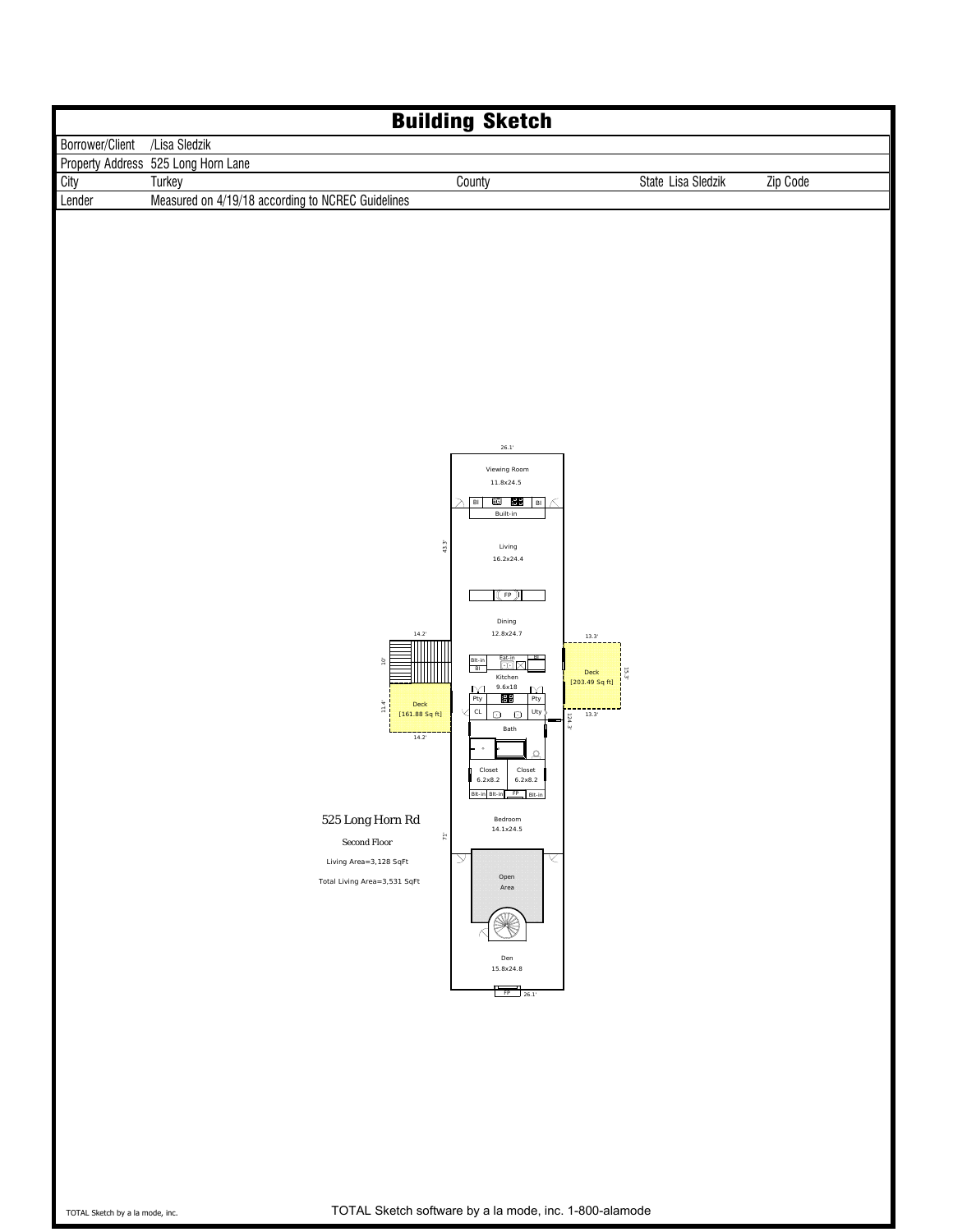| <b>Building Sketch</b> |                                                                                                                                                                                              |                                                                                                                                                                                                                                                                                                                                                                                                                                                                                                                                                                                                                                                                                                                                           |                    |          |  |  |  |  |  |
|------------------------|----------------------------------------------------------------------------------------------------------------------------------------------------------------------------------------------|-------------------------------------------------------------------------------------------------------------------------------------------------------------------------------------------------------------------------------------------------------------------------------------------------------------------------------------------------------------------------------------------------------------------------------------------------------------------------------------------------------------------------------------------------------------------------------------------------------------------------------------------------------------------------------------------------------------------------------------------|--------------------|----------|--|--|--|--|--|
| Borrower/Client        | /Lisa Sledzik                                                                                                                                                                                |                                                                                                                                                                                                                                                                                                                                                                                                                                                                                                                                                                                                                                                                                                                                           |                    |          |  |  |  |  |  |
|                        | Property Address 525 Long Horn Lane                                                                                                                                                          |                                                                                                                                                                                                                                                                                                                                                                                                                                                                                                                                                                                                                                                                                                                                           |                    |          |  |  |  |  |  |
| City                   | Turkey                                                                                                                                                                                       | County                                                                                                                                                                                                                                                                                                                                                                                                                                                                                                                                                                                                                                                                                                                                    | State Lisa Sledzik | Zip Code |  |  |  |  |  |
| Lender                 | Measured on 4/19/18 according to NCREC Guidelines                                                                                                                                            |                                                                                                                                                                                                                                                                                                                                                                                                                                                                                                                                                                                                                                                                                                                                           |                    |          |  |  |  |  |  |
|                        | $14.2^{\circ}$<br>$\mathsf{O}^*$<br>Deck<br>$11.4^{\circ}$<br>[161.88 Sq ft]<br>$14.2^{\circ}$<br>525 Long Horn Rd<br>Second Floor<br>Living Area=3,128 SqFt<br>Total Living Area=3,531 SqFt | $26.1^{\circ}$<br>Viewing Room<br>11.8x24.5<br>10   13<br>$\lambda$ Bi<br>∣в⊦∣ ∧<br>Built-in<br>43.3<br>Living<br>16.2x24.4<br>$(\tiny{\textsf{(FP)}})$<br>Dining<br>12.8x24.7<br>13.3'<br>BL.<br>$\frac{\mathsf{B} \mathsf{I} \mathsf{t} \cdot \mathsf{in}}{\mathsf{B} \mathsf{I}}$<br>Eat-in<br><b>①</b> 区<br>Deck<br>5.3<br>Kitchen<br>[203.49 Sq ft]<br>$9.6x18$<br>$\overline{\mathbf{M}}$<br>$\frac{M}{Pty}$<br>Pty<br>83<br>$_{\rm CL}$<br>Uty $\bigg\}$<br>$O$ $O$<br>13.3'<br>124.3<br>Bath<br>$\bullet$<br>$\mathbf{a}$<br>Closet<br>Closet<br>6.2x8.2<br>6.2x8.2<br><b>Sit-in Bit-in</b><br>$FP$ RIt-in<br>Bedroom<br>14.1x24.5<br>$\tilde{\kappa}$<br>$\overline{\vee}$<br>К<br>Open<br>Area<br>Den<br>15.8x24.8<br>$FP$ 26.1 |                    |          |  |  |  |  |  |
|                        |                                                                                                                                                                                              |                                                                                                                                                                                                                                                                                                                                                                                                                                                                                                                                                                                                                                                                                                                                           |                    |          |  |  |  |  |  |